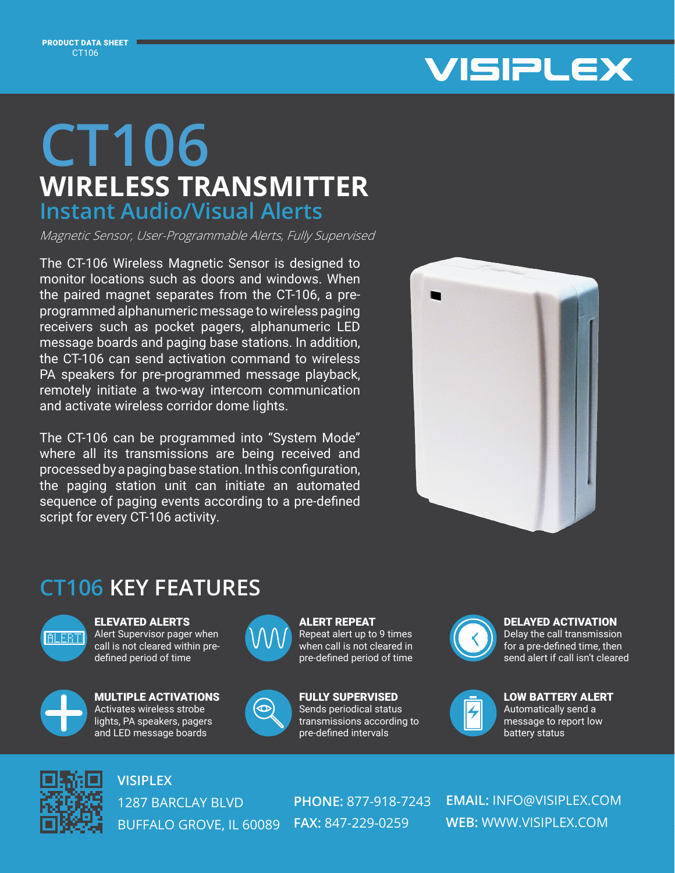PRODUCT DATA SHEET CT106



## **WIRELESS TRANSMITTER CT106 Instant Audio/Visual Alerts**

Magnetic Sensor, User-Programmable Alerts, Fully Supervised

The CT-106 Wireless Magnetic Sensor is designed to monitor locations such as doors and windows. When the paired magnet separates from the CT-106, a preprogrammed alphanumeric message to wireless paging receivers such as pocket pagers, alphanumeric LED message boards and paging base stations. In addition, the CT-106 can send activation command to wireless PA speakers for pre-programmed message playback, remotely initiate a two-way intercom communication and activate wireless corridor dome lights.

The CT-106 can be programmed into "System Mode" where all its transmissions are being received and processed by a paging base station. In this configuration, the paging station unit can initiate an automated sequence of paging events according to a pre-defined script for every CT-106 activity.



## **CT106 KEY FEATURES**



ELEVATED ALERTS Alert Supervisor pager when call is not cleared within predefined period of time



MULTIPLE ACTIVATIONS Activates wireless strobe lights, PA speakers, pagers and LED message boards



ALERT REPEAT Repeat alert up to 9 times when call is not cleared in pre-defined period of time



FULLY SUPERVISED Sends periodical status transmissions according to pre-defined intervals



## DELAYED ACTIVATION

Delay the call transmission for a pre-defined time, then send alert if call isn't cleared



LOW BATTERY ALERT Automatically send a message to report low battery status



**VISIPLEX**

1287 BARCLAY BLVD BUFFALO GROVE, IL 60089 **FAX:** 847-229-0259

**PHONE:** 877-918-7243

**EMAIL:** INFO@VISIPLEX.COM **WEB:** WWW.VISIPLEX.COM